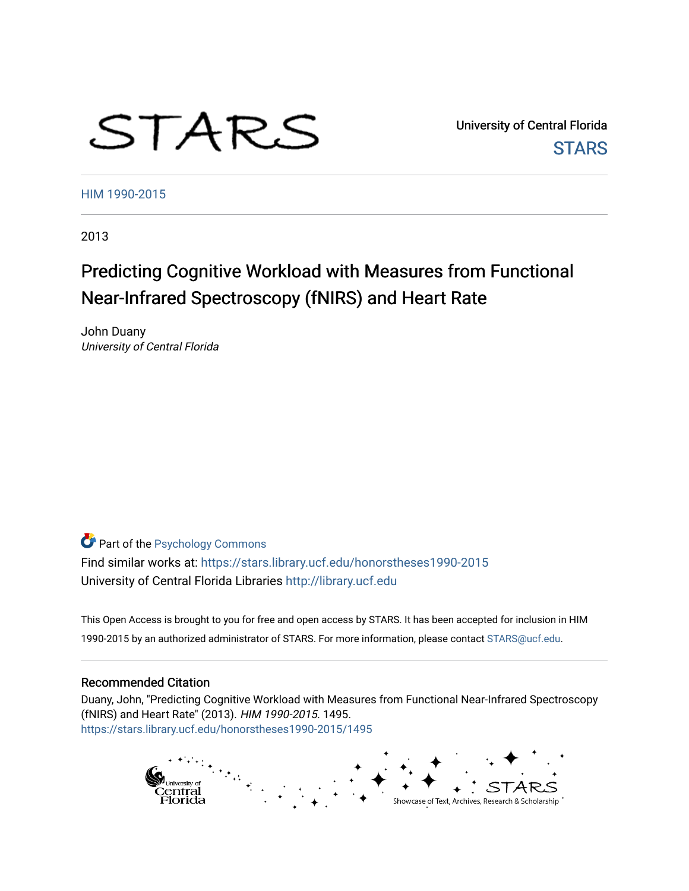# STARS

University of Central Florida **STARS** 

[HIM 1990-2015](https://stars.library.ucf.edu/honorstheses1990-2015) 

2013

# Predicting Cognitive Workload with Measures from Functional Near-Infrared Spectroscopy (fNIRS) and Heart Rate

John Duany University of Central Florida

**Part of the Psychology Commons** 

Find similar works at: <https://stars.library.ucf.edu/honorstheses1990-2015> University of Central Florida Libraries [http://library.ucf.edu](http://library.ucf.edu/) 

This Open Access is brought to you for free and open access by STARS. It has been accepted for inclusion in HIM 1990-2015 by an authorized administrator of STARS. For more information, please contact [STARS@ucf.edu](mailto:STARS@ucf.edu).

# Recommended Citation

Duany, John, "Predicting Cognitive Workload with Measures from Functional Near-Infrared Spectroscopy (fNIRS) and Heart Rate" (2013). HIM 1990-2015. 1495. [https://stars.library.ucf.edu/honorstheses1990-2015/1495](https://stars.library.ucf.edu/honorstheses1990-2015/1495?utm_source=stars.library.ucf.edu%2Fhonorstheses1990-2015%2F1495&utm_medium=PDF&utm_campaign=PDFCoverPages) 

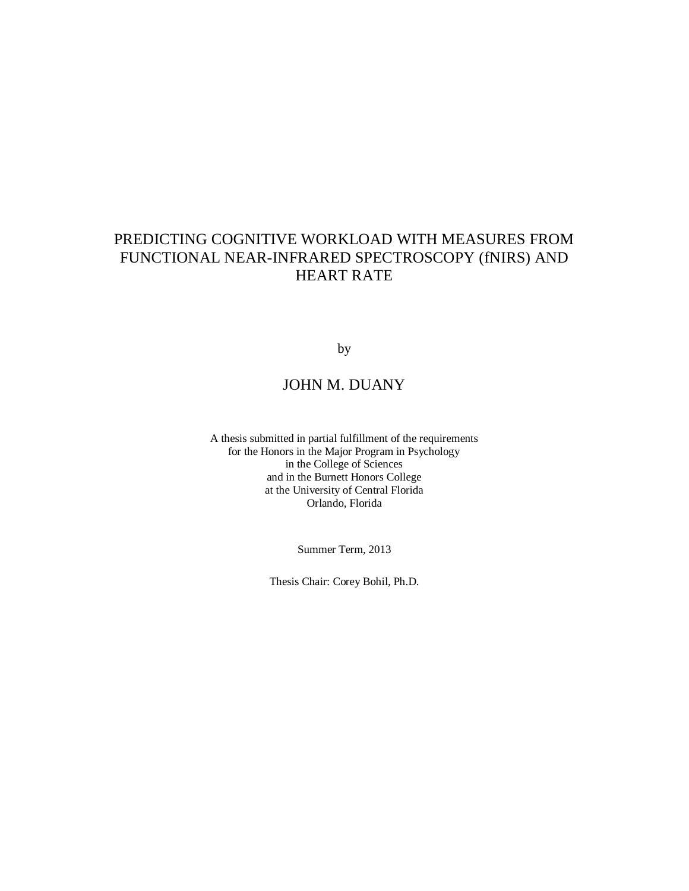# PREDICTING COGNITIVE WORKLOAD WITH MEASURES FROM FUNCTIONAL NEAR-INFRARED SPECTROSCOPY (fNIRS) AND HEART RATE

by

# JOHN M. DUANY

A thesis submitted in partial fulfillment of the requirements for the Honors in the Major Program in Psychology in the College of Sciences and in the Burnett Honors College at the University of Central Florida Orlando, Florida

Summer Term, 2013

Thesis Chair: Corey Bohil, Ph.D.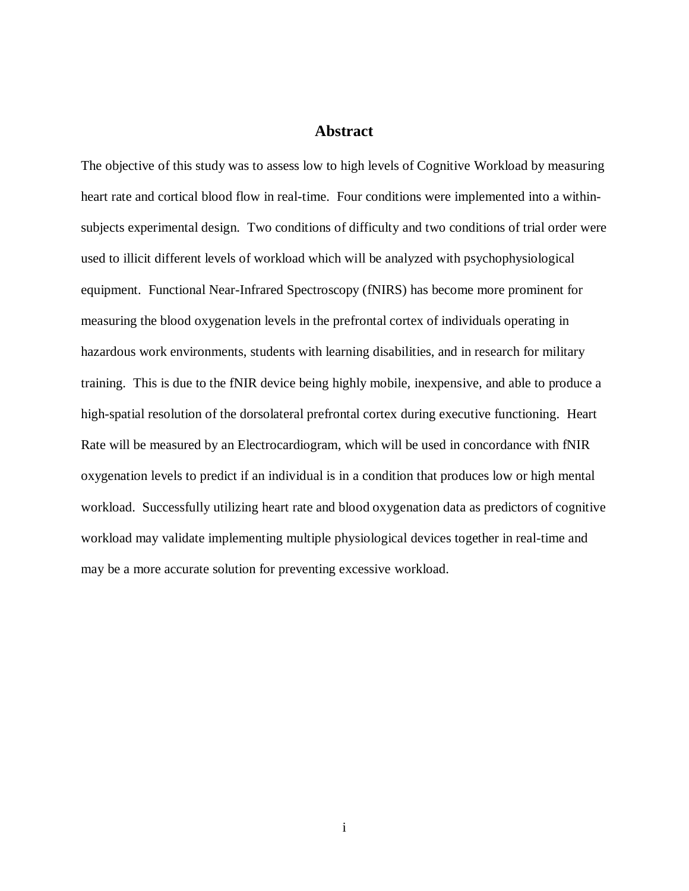# **Abstract**

The objective of this study was to assess low to high levels of Cognitive Workload by measuring heart rate and cortical blood flow in real-time. Four conditions were implemented into a withinsubjects experimental design. Two conditions of difficulty and two conditions of trial order were used to illicit different levels of workload which will be analyzed with psychophysiological equipment. Functional Near-Infrared Spectroscopy (fNIRS) has become more prominent for measuring the blood oxygenation levels in the prefrontal cortex of individuals operating in hazardous work environments, students with learning disabilities, and in research for military training. This is due to the fNIR device being highly mobile, inexpensive, and able to produce a high-spatial resolution of the dorsolateral prefrontal cortex during executive functioning. Heart Rate will be measured by an Electrocardiogram, which will be used in concordance with fNIR oxygenation levels to predict if an individual is in a condition that produces low or high mental workload. Successfully utilizing heart rate and blood oxygenation data as predictors of cognitive workload may validate implementing multiple physiological devices together in real-time and may be a more accurate solution for preventing excessive workload.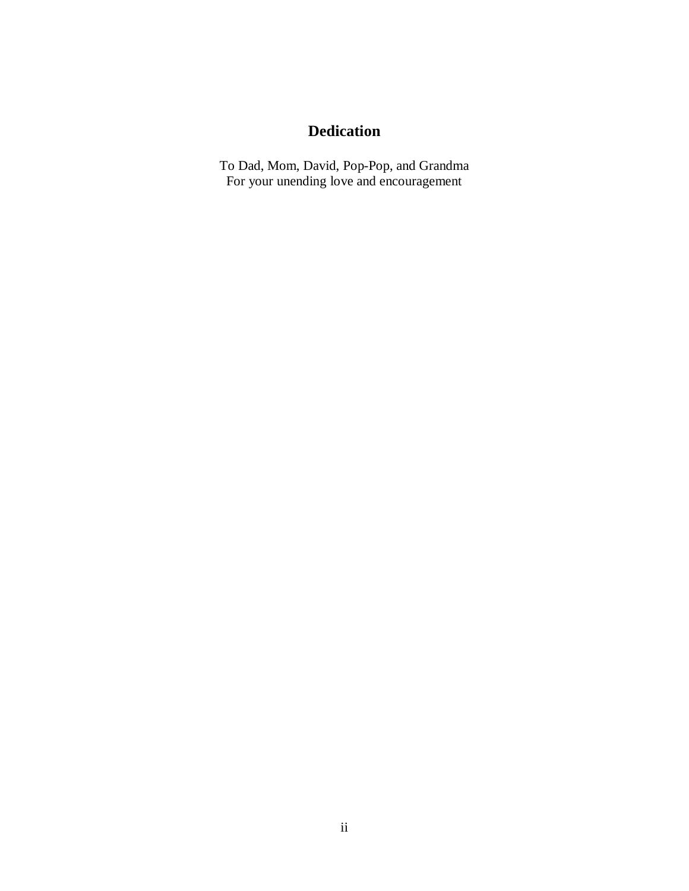# **Dedication**

To Dad, Mom, David, Pop-Pop, and Grandma For your unending love and encouragement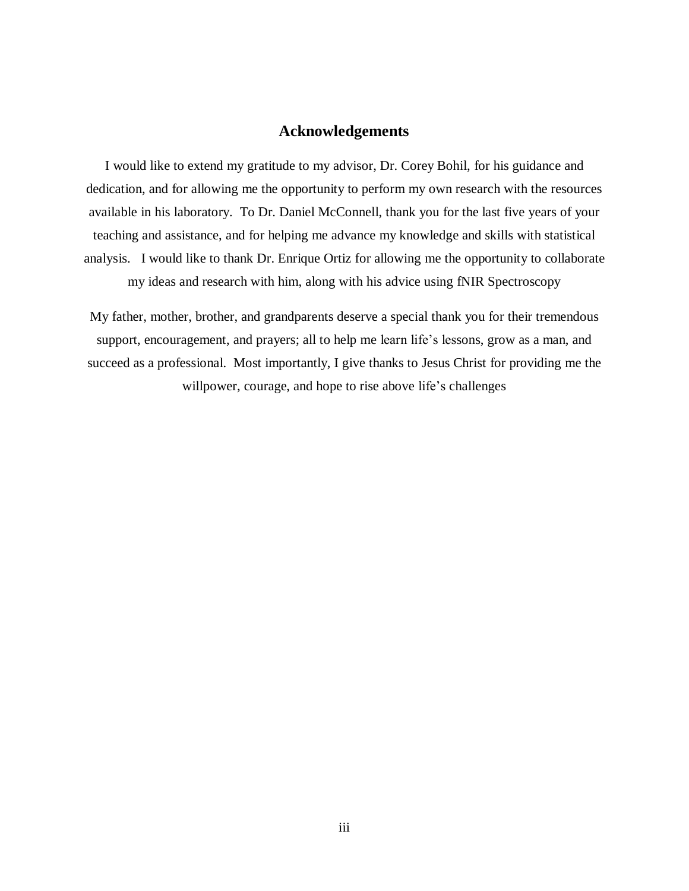# **Acknowledgements**

I would like to extend my gratitude to my advisor, Dr. Corey Bohil, for his guidance and dedication, and for allowing me the opportunity to perform my own research with the resources available in his laboratory. To Dr. Daniel McConnell, thank you for the last five years of your teaching and assistance, and for helping me advance my knowledge and skills with statistical analysis. I would like to thank Dr. Enrique Ortiz for allowing me the opportunity to collaborate my ideas and research with him, along with his advice using fNIR Spectroscopy

My father, mother, brother, and grandparents deserve a special thank you for their tremendous support, encouragement, and prayers; all to help me learn life's lessons, grow as a man, and succeed as a professional. Most importantly, I give thanks to Jesus Christ for providing me the willpower, courage, and hope to rise above life's challenges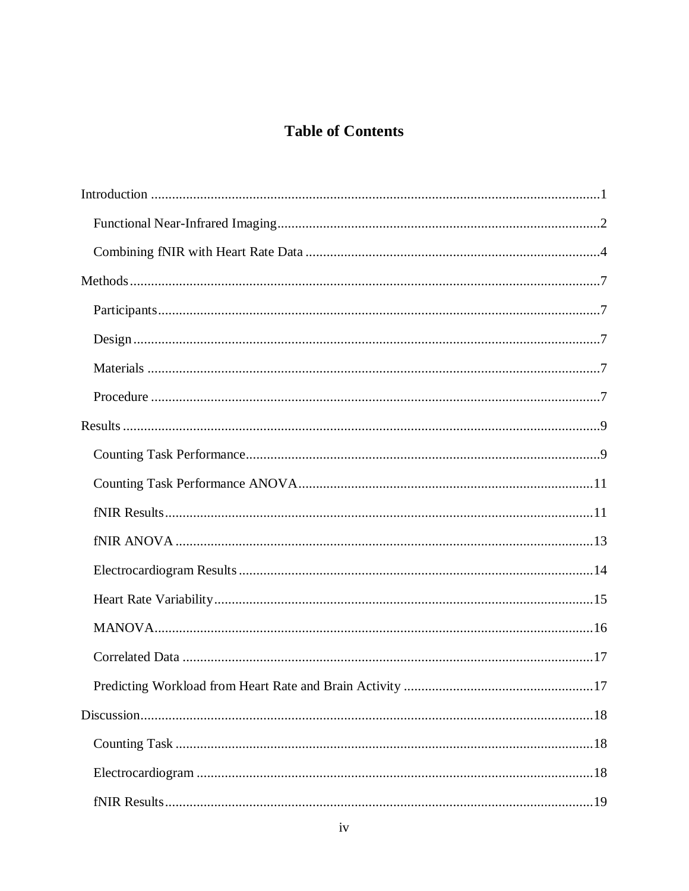# **Table of Contents**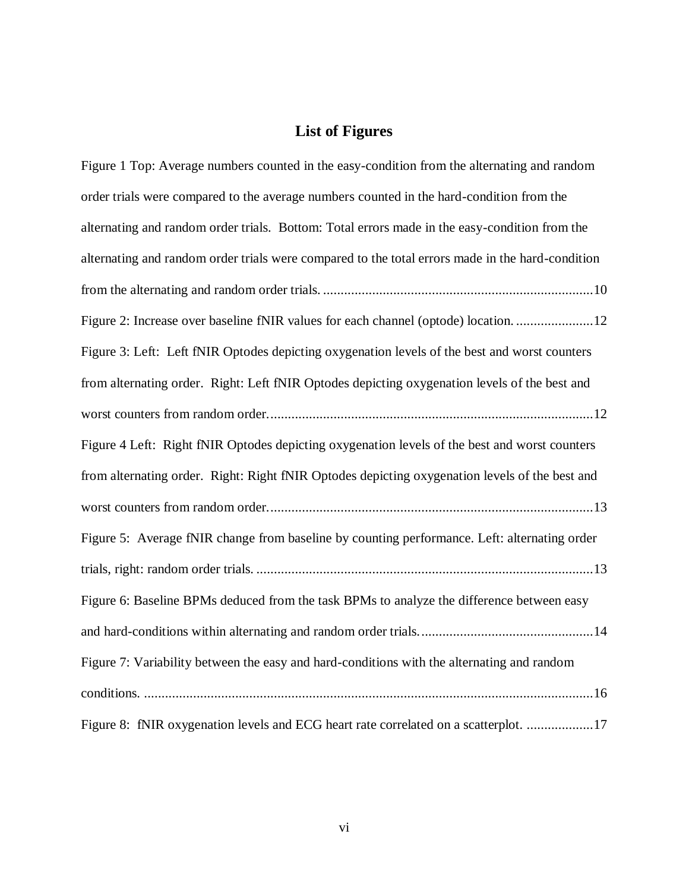# **List of Figures**

| Figure 1 Top: Average numbers counted in the easy-condition from the alternating and random      |
|--------------------------------------------------------------------------------------------------|
| order trials were compared to the average numbers counted in the hard-condition from the         |
| alternating and random order trials. Bottom: Total errors made in the easy-condition from the    |
| alternating and random order trials were compared to the total errors made in the hard-condition |
|                                                                                                  |
| Figure 2: Increase over baseline fNIR values for each channel (optode) location. 12              |
| Figure 3: Left: Left fNIR Optodes depicting oxygenation levels of the best and worst counters    |
| from alternating order. Right: Left fNIR Optodes depicting oxygenation levels of the best and    |
|                                                                                                  |
| Figure 4 Left: Right fNIR Optodes depicting oxygenation levels of the best and worst counters    |
| from alternating order. Right: Right fNIR Optodes depicting oxygenation levels of the best and   |
|                                                                                                  |
| Figure 5: Average fNIR change from baseline by counting performance. Left: alternating order     |
|                                                                                                  |
| Figure 6: Baseline BPMs deduced from the task BPMs to analyze the difference between easy        |
|                                                                                                  |
| Figure 7: Variability between the easy and hard-conditions with the alternating and random       |
|                                                                                                  |
| Figure 8: fNIR oxygenation levels and ECG heart rate correlated on a scatterplot. 17             |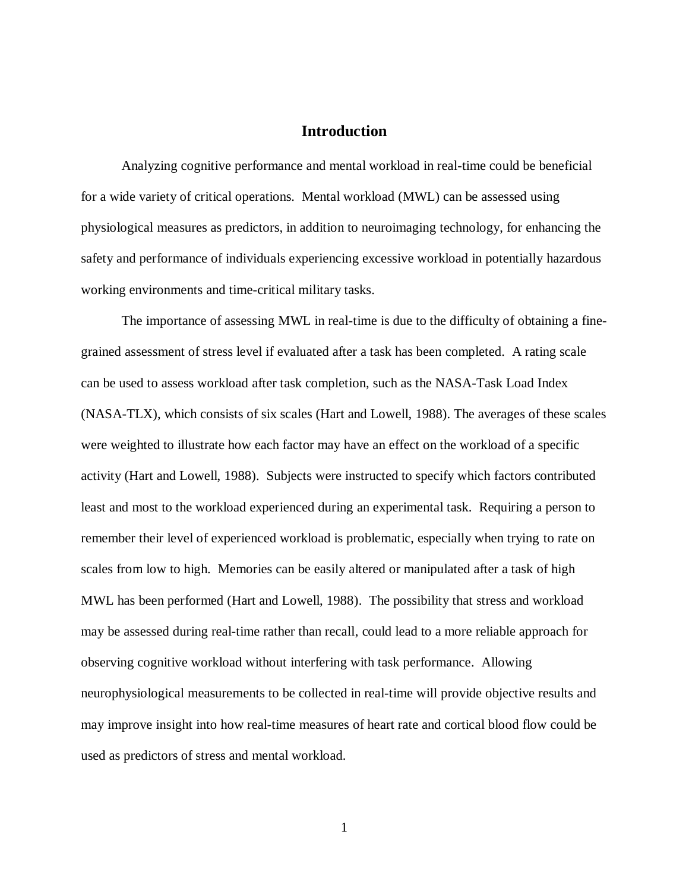# **Introduction**

<span id="page-8-0"></span>Analyzing cognitive performance and mental workload in real-time could be beneficial for a wide variety of critical operations. Mental workload (MWL) can be assessed using physiological measures as predictors, in addition to neuroimaging technology, for enhancing the safety and performance of individuals experiencing excessive workload in potentially hazardous working environments and time-critical military tasks.

The importance of assessing MWL in real-time is due to the difficulty of obtaining a finegrained assessment of stress level if evaluated after a task has been completed. A rating scale can be used to assess workload after task completion, such as the NASA-Task Load Index (NASA-TLX), which consists of six scales (Hart and Lowell, 1988). The averages of these scales were weighted to illustrate how each factor may have an effect on the workload of a specific activity (Hart and Lowell, 1988). Subjects were instructed to specify which factors contributed least and most to the workload experienced during an experimental task. Requiring a person to remember their level of experienced workload is problematic, especially when trying to rate on scales from low to high. Memories can be easily altered or manipulated after a task of high MWL has been performed (Hart and Lowell, 1988). The possibility that stress and workload may be assessed during real-time rather than recall, could lead to a more reliable approach for observing cognitive workload without interfering with task performance. Allowing neurophysiological measurements to be collected in real-time will provide objective results and may improve insight into how real-time measures of heart rate and cortical blood flow could be used as predictors of stress and mental workload.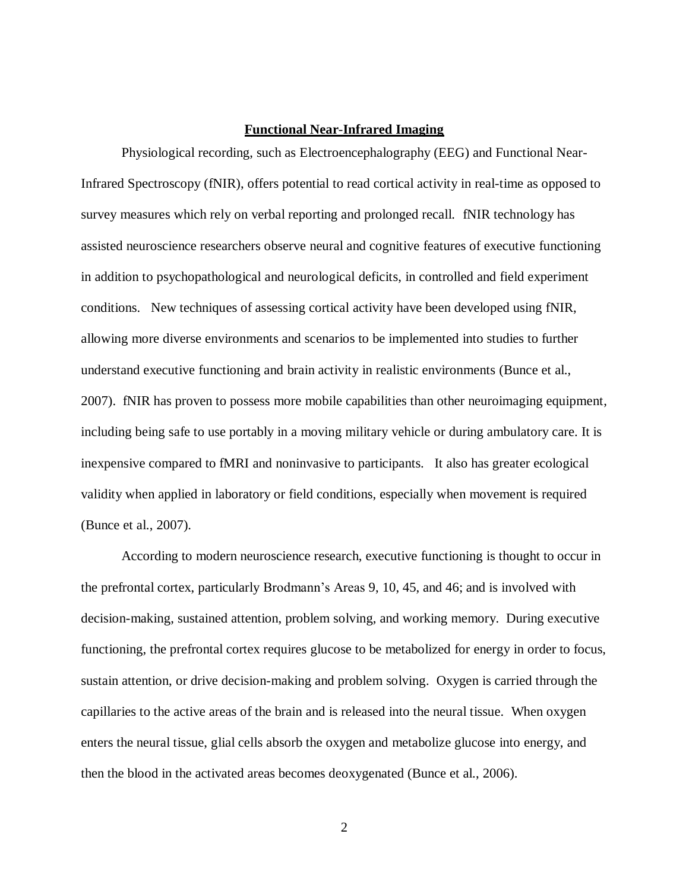#### **Functional Near**-**Infrared Imaging**

<span id="page-9-0"></span>Physiological recording, such as Electroencephalography (EEG) and Functional Near-Infrared Spectroscopy (fNIR), offers potential to read cortical activity in real-time as opposed to survey measures which rely on verbal reporting and prolonged recall. fNIR technology has assisted neuroscience researchers observe neural and cognitive features of executive functioning in addition to psychopathological and neurological deficits, in controlled and field experiment conditions. New techniques of assessing cortical activity have been developed using fNIR, allowing more diverse environments and scenarios to be implemented into studies to further understand executive functioning and brain activity in realistic environments (Bunce et al., 2007). fNIR has proven to possess more mobile capabilities than other neuroimaging equipment, including being safe to use portably in a moving military vehicle or during ambulatory care. It is inexpensive compared to fMRI and noninvasive to participants. It also has greater ecological validity when applied in laboratory or field conditions, especially when movement is required (Bunce et al., 2007).

According to modern neuroscience research, executive functioning is thought to occur in the prefrontal cortex, particularly Brodmann's Areas 9, 10, 45, and 46; and is involved with decision-making, sustained attention, problem solving, and working memory. During executive functioning, the prefrontal cortex requires glucose to be metabolized for energy in order to focus, sustain attention, or drive decision-making and problem solving. Oxygen is carried through the capillaries to the active areas of the brain and is released into the neural tissue. When oxygen enters the neural tissue, glial cells absorb the oxygen and metabolize glucose into energy, and then the blood in the activated areas becomes deoxygenated (Bunce et al., 2006).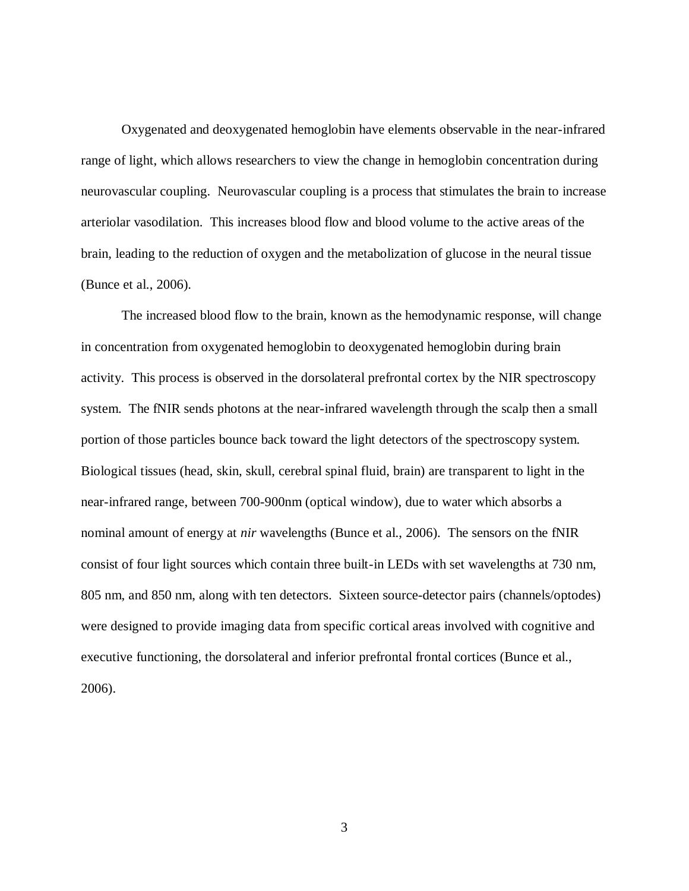Oxygenated and deoxygenated hemoglobin have elements observable in the near-infrared range of light, which allows researchers to view the change in hemoglobin concentration during neurovascular coupling. Neurovascular coupling is a process that stimulates the brain to increase arteriolar vasodilation. This increases blood flow and blood volume to the active areas of the brain, leading to the reduction of oxygen and the metabolization of glucose in the neural tissue (Bunce et al., 2006).

The increased blood flow to the brain, known as the hemodynamic response, will change in concentration from oxygenated hemoglobin to deoxygenated hemoglobin during brain activity. This process is observed in the dorsolateral prefrontal cortex by the NIR spectroscopy system. The fNIR sends photons at the near-infrared wavelength through the scalp then a small portion of those particles bounce back toward the light detectors of the spectroscopy system. Biological tissues (head, skin, skull, cerebral spinal fluid, brain) are transparent to light in the near-infrared range, between 700-900nm (optical window), due to water which absorbs a nominal amount of energy at *nir* wavelengths (Bunce et al., 2006). The sensors on the fNIR consist of four light sources which contain three built-in LEDs with set wavelengths at 730 nm, 805 nm, and 850 nm, along with ten detectors. Sixteen source-detector pairs (channels/optodes) were designed to provide imaging data from specific cortical areas involved with cognitive and executive functioning, the dorsolateral and inferior prefrontal frontal cortices (Bunce et al., 2006).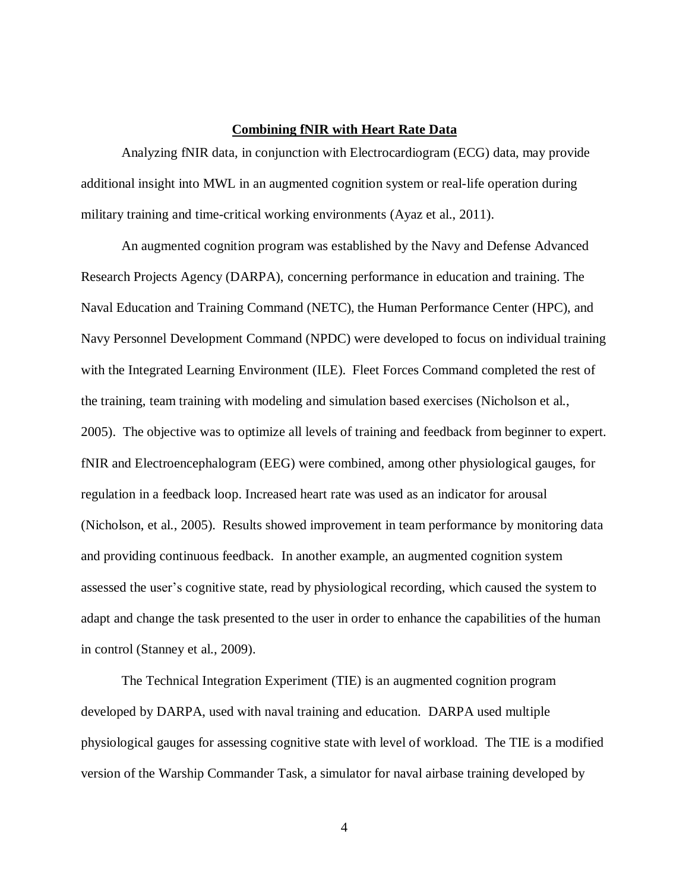## **Combining fNIR with Heart Rate Data**

<span id="page-11-0"></span>Analyzing fNIR data, in conjunction with Electrocardiogram (ECG) data, may provide additional insight into MWL in an augmented cognition system or real-life operation during military training and time-critical working environments (Ayaz et al., 2011).

An augmented cognition program was established by the Navy and Defense Advanced Research Projects Agency (DARPA), concerning performance in education and training. The Naval Education and Training Command (NETC), the Human Performance Center (HPC), and Navy Personnel Development Command (NPDC) were developed to focus on individual training with the Integrated Learning Environment (ILE). Fleet Forces Command completed the rest of the training, team training with modeling and simulation based exercises (Nicholson et al., 2005). The objective was to optimize all levels of training and feedback from beginner to expert. fNIR and Electroencephalogram (EEG) were combined, among other physiological gauges, for regulation in a feedback loop. Increased heart rate was used as an indicator for arousal (Nicholson, et al., 2005). Results showed improvement in team performance by monitoring data and providing continuous feedback. In another example, an augmented cognition system assessed the user's cognitive state, read by physiological recording, which caused the system to adapt and change the task presented to the user in order to enhance the capabilities of the human in control (Stanney et al., 2009).

The Technical Integration Experiment (TIE) is an augmented cognition program developed by DARPA, used with naval training and education. DARPA used multiple physiological gauges for assessing cognitive state with level of workload. The TIE is a modified version of the Warship Commander Task, a simulator for naval airbase training developed by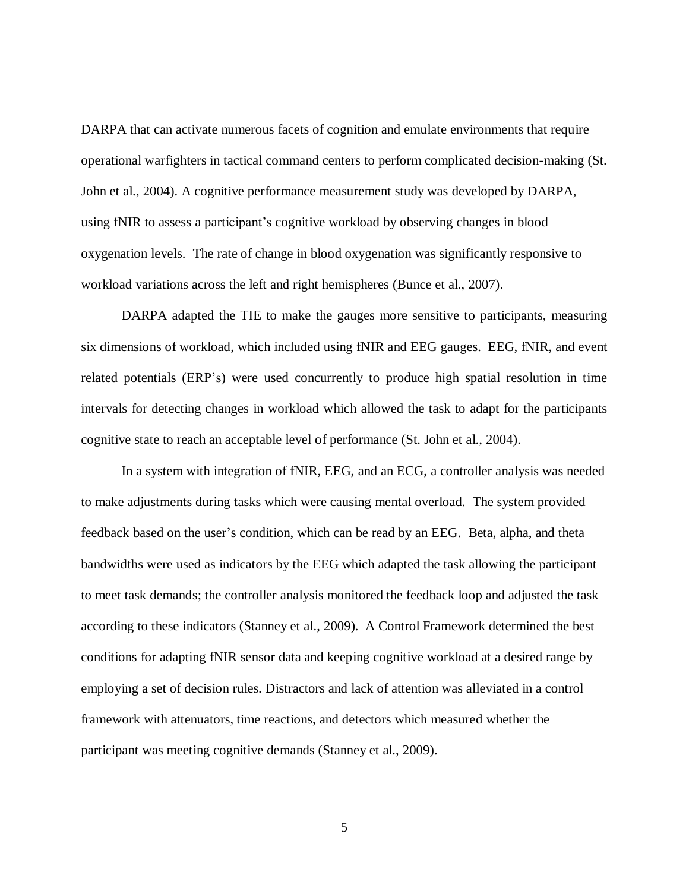DARPA that can activate numerous facets of cognition and emulate environments that require operational warfighters in tactical command centers to perform complicated decision-making (St. John et al., 2004). A cognitive performance measurement study was developed by DARPA, using fNIR to assess a participant's cognitive workload by observing changes in blood oxygenation levels. The rate of change in blood oxygenation was significantly responsive to workload variations across the left and right hemispheres (Bunce et al., 2007).

DARPA adapted the TIE to make the gauges more sensitive to participants, measuring six dimensions of workload, which included using fNIR and EEG gauges. EEG, fNIR, and event related potentials (ERP's) were used concurrently to produce high spatial resolution in time intervals for detecting changes in workload which allowed the task to adapt for the participants cognitive state to reach an acceptable level of performance (St. John et al., 2004).

In a system with integration of fNIR, EEG, and an ECG, a controller analysis was needed to make adjustments during tasks which were causing mental overload. The system provided feedback based on the user's condition, which can be read by an EEG. Beta, alpha, and theta bandwidths were used as indicators by the EEG which adapted the task allowing the participant to meet task demands; the controller analysis monitored the feedback loop and adjusted the task according to these indicators (Stanney et al., 2009). A Control Framework determined the best conditions for adapting fNIR sensor data and keeping cognitive workload at a desired range by employing a set of decision rules. Distractors and lack of attention was alleviated in a control framework with attenuators, time reactions, and detectors which measured whether the participant was meeting cognitive demands (Stanney et al., 2009).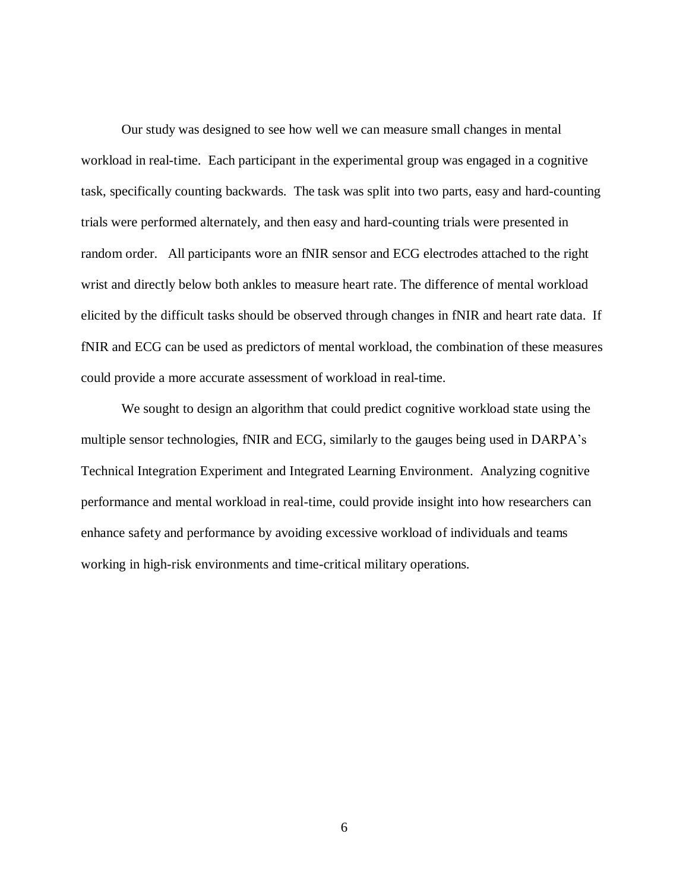Our study was designed to see how well we can measure small changes in mental workload in real-time. Each participant in the experimental group was engaged in a cognitive task, specifically counting backwards. The task was split into two parts, easy and hard-counting trials were performed alternately, and then easy and hard-counting trials were presented in random order. All participants wore an fNIR sensor and ECG electrodes attached to the right wrist and directly below both ankles to measure heart rate. The difference of mental workload elicited by the difficult tasks should be observed through changes in fNIR and heart rate data. If fNIR and ECG can be used as predictors of mental workload, the combination of these measures could provide a more accurate assessment of workload in real-time.

We sought to design an algorithm that could predict cognitive workload state using the multiple sensor technologies, fNIR and ECG, similarly to the gauges being used in DARPA's Technical Integration Experiment and Integrated Learning Environment. Analyzing cognitive performance and mental workload in real-time, could provide insight into how researchers can enhance safety and performance by avoiding excessive workload of individuals and teams working in high-risk environments and time-critical military operations.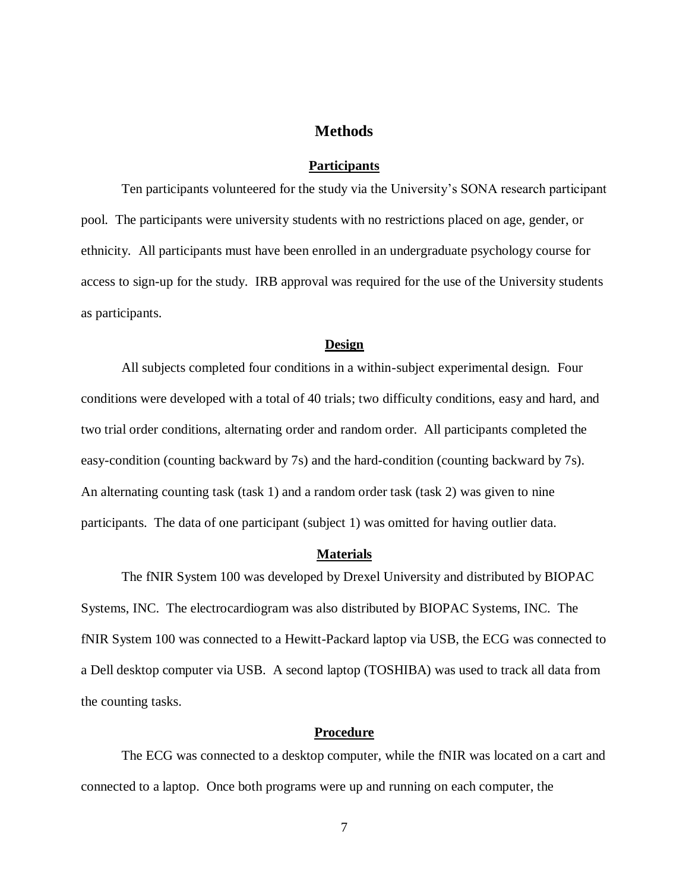# **Methods**

## **Participants**

<span id="page-14-1"></span><span id="page-14-0"></span>Ten participants volunteered for the study via the University's SONA research participant pool. The participants were university students with no restrictions placed on age, gender, or ethnicity. All participants must have been enrolled in an undergraduate psychology course for access to sign-up for the study. IRB approval was required for the use of the University students as participants.

#### **Design**

<span id="page-14-2"></span>All subjects completed four conditions in a within-subject experimental design. Four conditions were developed with a total of 40 trials; two difficulty conditions, easy and hard, and two trial order conditions, alternating order and random order. All participants completed the easy-condition (counting backward by 7s) and the hard-condition (counting backward by 7s). An alternating counting task (task 1) and a random order task (task 2) was given to nine participants. The data of one participant (subject 1) was omitted for having outlier data.

#### **Materials**

<span id="page-14-3"></span>The fNIR System 100 was developed by Drexel University and distributed by BIOPAC Systems, INC. The electrocardiogram was also distributed by BIOPAC Systems, INC. The fNIR System 100 was connected to a Hewitt-Packard laptop via USB, the ECG was connected to a Dell desktop computer via USB. A second laptop (TOSHIBA) was used to track all data from the counting tasks.

#### **Procedure**

<span id="page-14-4"></span>The ECG was connected to a desktop computer, while the fNIR was located on a cart and connected to a laptop. Once both programs were up and running on each computer, the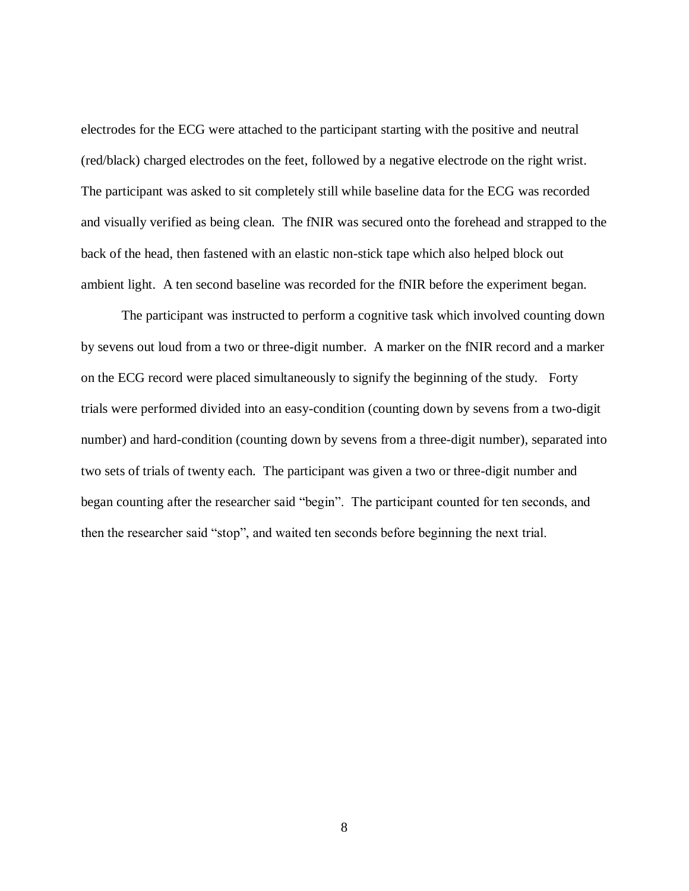electrodes for the ECG were attached to the participant starting with the positive and neutral (red/black) charged electrodes on the feet, followed by a negative electrode on the right wrist. The participant was asked to sit completely still while baseline data for the ECG was recorded and visually verified as being clean. The fNIR was secured onto the forehead and strapped to the back of the head, then fastened with an elastic non-stick tape which also helped block out ambient light. A ten second baseline was recorded for the fNIR before the experiment began.

The participant was instructed to perform a cognitive task which involved counting down by sevens out loud from a two or three-digit number. A marker on the fNIR record and a marker on the ECG record were placed simultaneously to signify the beginning of the study. Forty trials were performed divided into an easy-condition (counting down by sevens from a two-digit number) and hard-condition (counting down by sevens from a three-digit number), separated into two sets of trials of twenty each. The participant was given a two or three-digit number and began counting after the researcher said "begin". The participant counted for ten seconds, and then the researcher said "stop", and waited ten seconds before beginning the next trial.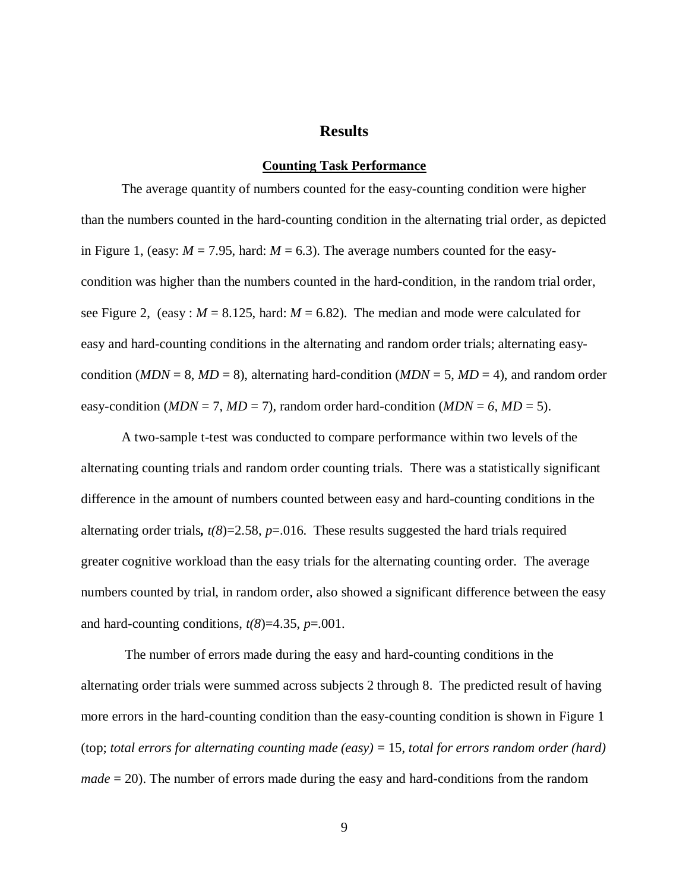## **Results**

#### **Counting Task Performance**

<span id="page-16-1"></span><span id="page-16-0"></span>The average quantity of numbers counted for the easy-counting condition were higher than the numbers counted in the hard-counting condition in the alternating trial order, as depicted in Figure 1, (easy:  $M = 7.95$ , hard:  $M = 6.3$ ). The average numbers counted for the easycondition was higher than the numbers counted in the hard-condition, in the random trial order, see Figure 2, (easy :  $M = 8.125$ , hard:  $M = 6.82$ ). The median and mode were calculated for easy and hard-counting conditions in the alternating and random order trials; alternating easycondition ( $MDN = 8$ ,  $MD = 8$ ), alternating hard-condition ( $MDN = 5$ ,  $MD = 4$ ), and random order easy-condition ( $MDN = 7$ ,  $MD = 7$ ), random order hard-condition ( $MDN = 6$ ,  $MD = 5$ ).

A two-sample t-test was conducted to compare performance within two levels of the alternating counting trials and random order counting trials. There was a statistically significant difference in the amount of numbers counted between easy and hard-counting conditions in the alternating order trials,  $t(8)=2.58$ ,  $p=.016$ . These results suggested the hard trials required greater cognitive workload than the easy trials for the alternating counting order. The average numbers counted by trial, in random order, also showed a significant difference between the easy and hard-counting conditions,  $t(8)=4.35$ ,  $p=.001$ .

The number of errors made during the easy and hard-counting conditions in the alternating order trials were summed across subjects 2 through 8. The predicted result of having more errors in the hard-counting condition than the easy-counting condition is shown in Figure 1 (top; *total errors for alternating counting made (easy)* = 15, *total for errors random order (hard) made* = 20). The number of errors made during the easy and hard-conditions from the random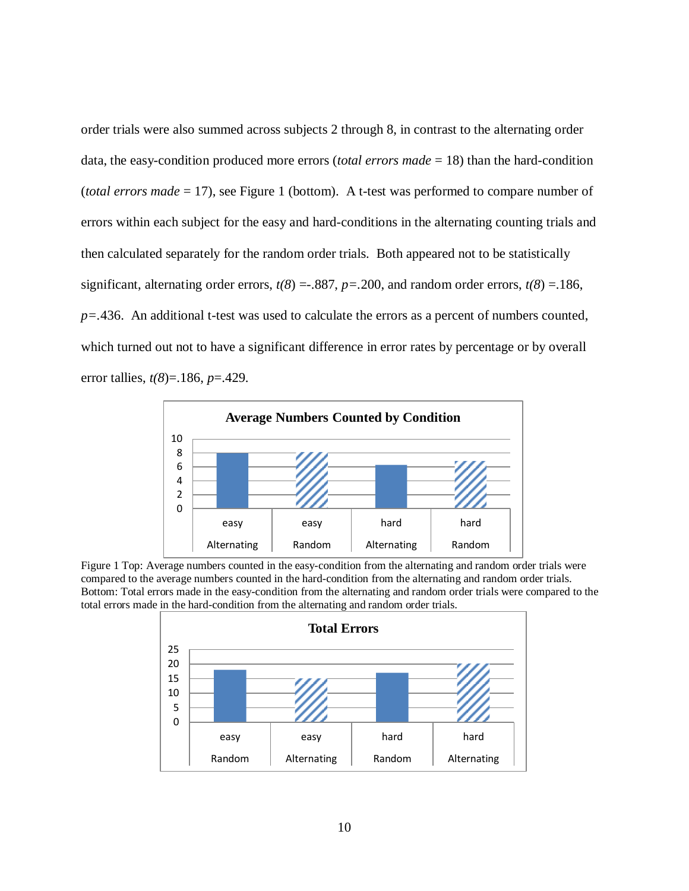order trials were also summed across subjects 2 through 8, in contrast to the alternating order data, the easy-condition produced more errors (*total errors made* = 18) than the hard-condition (*total errors made* = 17), see Figure 1 (bottom). A t-test was performed to compare number of errors within each subject for the easy and hard-conditions in the alternating counting trials and then calculated separately for the random order trials. Both appeared not to be statistically significant, alternating order errors,  $t(8) = .887$ ,  $p = .200$ , and random order errors,  $t(8) = .186$ , *p=.*436. An additional t-test was used to calculate the errors as a percent of numbers counted, which turned out not to have a significant difference in error rates by percentage or by overall error tallies, *t(8*)=.186, *p*=.429.



<span id="page-17-0"></span>Figure 1 Top: Average numbers counted in the easy-condition from the alternating and random order trials were compared to the average numbers counted in the hard-condition from the alternating and random order trials. Bottom: Total errors made in the easy-condition from the alternating and random order trials were compared to the total errors made in the hard-condition from the alternating and random order trials.

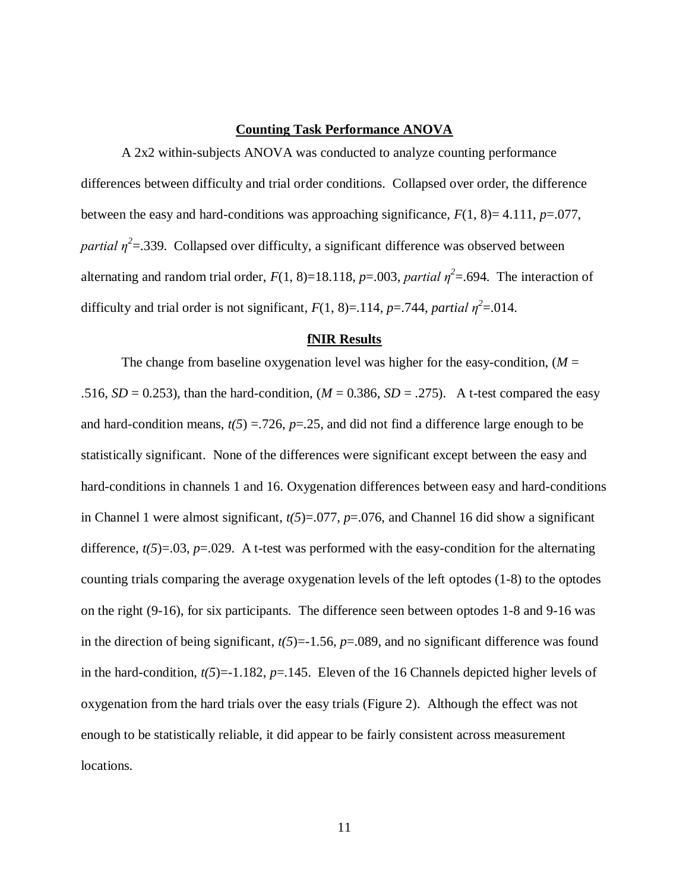## **Counting Task Performance ANOVA**

<span id="page-18-0"></span>A 2x2 within-subjects ANOVA was conducted to analyze counting performance differences between difficulty and trial order conditions. Collapsed over order, the difference between the easy and hard-conditions was approaching significance, *F*(1, 8)= 4.111, *p*=.077, *partial*  $\eta^2$ =.339. Collapsed over difficulty, a significant difference was observed between alternating and random trial order,  $F(1, 8)=18.118$ ,  $p=.003$ , *partial*  $\eta^2=.694$ . The interaction of difficulty and trial order is not significant,  $F(1, 8) = .114$ ,  $p = .744$ , *partial*  $\eta^2 = .014$ .

#### **fNIR Results**

<span id="page-18-1"></span>The change from baseline oxygenation level was higher for the easy-condition,  $(M =$ .516,  $SD = 0.253$ ), than the hard-condition,  $(M = 0.386, SD = .275)$ . A t-test compared the easy and hard-condition means,  $t(5) = 726$ ,  $p = 25$ , and did not find a difference large enough to be statistically significant. None of the differences were significant except between the easy and hard-conditions in channels 1 and 16. Oxygenation differences between easy and hard-conditions in Channel 1 were almost significant,  $t(5)=0.077$ ,  $p=.076$ , and Channel 16 did show a significant difference,  $t(5)=0.03$ ,  $p=.029$ . A t-test was performed with the easy-condition for the alternating counting trials comparing the average oxygenation levels of the left optodes (1-8) to the optodes on the right (9-16), for six participants. The difference seen between optodes 1-8 and 9-16 was in the direction of being significant,  $t(5)=1.56$ ,  $p=.089$ , and no significant difference was found in the hard-condition,  $t(5)=1.182$ ,  $p=.145$ . Eleven of the 16 Channels depicted higher levels of oxygenation from the hard trials over the easy trials (Figure 2). Although the effect was not enough to be statistically reliable, it did appear to be fairly consistent across measurement locations.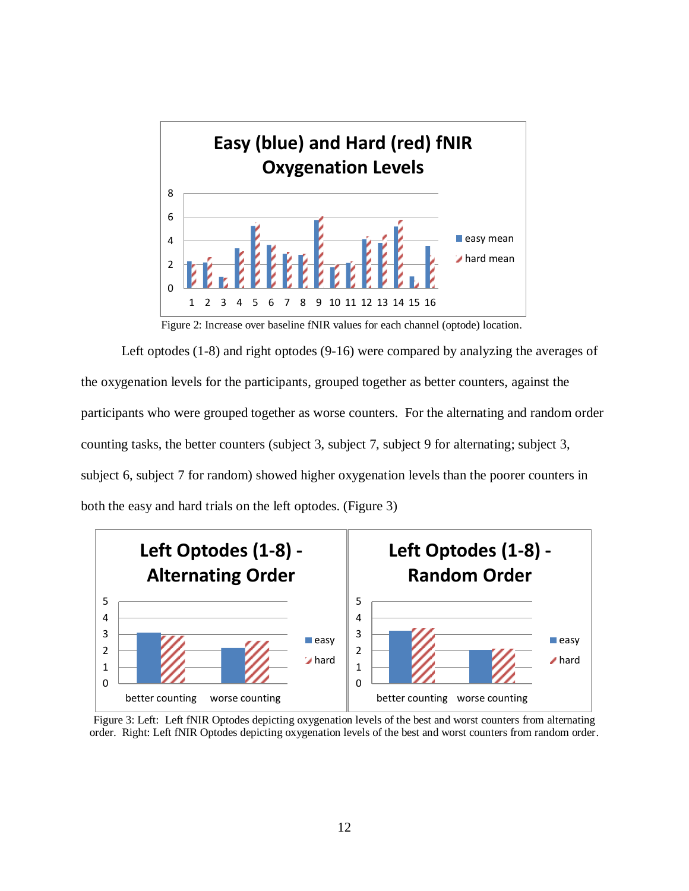

<span id="page-19-0"></span>Figure 2: Increase over baseline fNIR values for each channel (optode) location.

Left optodes (1-8) and right optodes (9-16) were compared by analyzing the averages of the oxygenation levels for the participants, grouped together as better counters, against the participants who were grouped together as worse counters. For the alternating and random order counting tasks, the better counters (subject 3, subject 7, subject 9 for alternating; subject 3, subject 6, subject 7 for random) showed higher oxygenation levels than the poorer counters in both the easy and hard trials on the left optodes. (Figure 3)

<span id="page-19-1"></span>

Figure 3: Left: Left fNIR Optodes depicting oxygenation levels of the best and worst counters from alternating order. Right: Left fNIR Optodes depicting oxygenation levels of the best and worst counters from random order.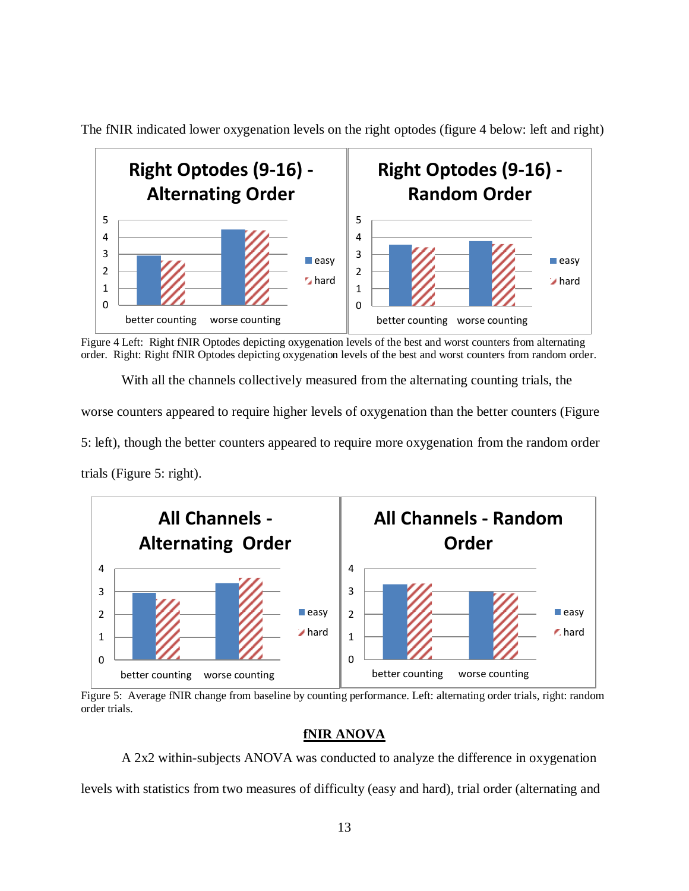

The fNIR indicated lower oxygenation levels on the right optodes (figure 4 below: left and right)

<span id="page-20-1"></span>Figure 4 Left: Right fNIR Optodes depicting oxygenation levels of the best and worst counters from alternating order. Right: Right fNIR Optodes depicting oxygenation levels of the best and worst counters from random order.

With all the channels collectively measured from the alternating counting trials, the worse counters appeared to require higher levels of oxygenation than the better counters (Figure 5: left), though the better counters appeared to require more oxygenation from the random order trials (Figure 5: right).



<span id="page-20-2"></span>Figure 5: Average fNIR change from baseline by counting performance. Left: alternating order trials, right: random order trials.

# **fNIR ANOVA**

<span id="page-20-0"></span>A 2x2 within-subjects ANOVA was conducted to analyze the difference in oxygenation levels with statistics from two measures of difficulty (easy and hard), trial order (alternating and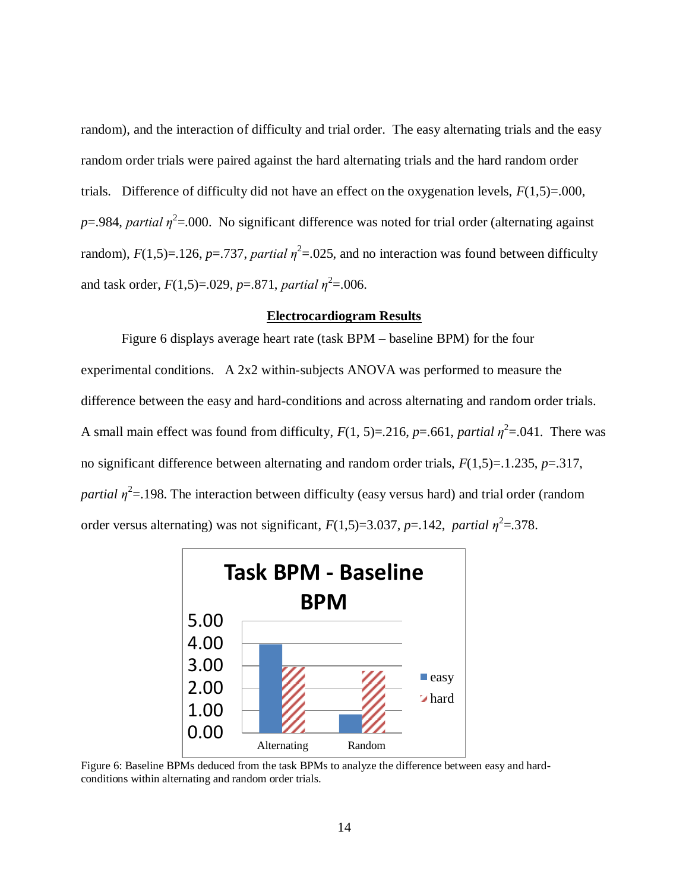random), and the interaction of difficulty and trial order. The easy alternating trials and the easy random order trials were paired against the hard alternating trials and the hard random order trials. Difference of difficulty did not have an effect on the oxygenation levels,  $F(1,5)=.000$ ,  $p = 0.984$ , *partial*  $\eta^2 = 0.000$ . No significant difference was noted for trial order (alternating against random),  $F(1,5)=126$ ,  $p=.737$ , *partial*  $\eta^2=.025$ , and no interaction was found between difficulty and task order,  $F(1,5)=0.029$ ,  $p=.871$ , *partial*  $\eta^2$ =.006.

### **Electrocardiogram Results**

<span id="page-21-0"></span>Figure 6 displays average heart rate (task BPM – baseline BPM) for the four experimental conditions. A 2x2 within-subjects ANOVA was performed to measure the difference between the easy and hard-conditions and across alternating and random order trials. A small main effect was found from difficulty,  $F(1, 5)=216$ ,  $p=.661$ , *partial*  $\eta^2 = .041$ . There was no significant difference between alternating and random order trials, *F*(1,5)=.1.235, *p*=.317, *partial*  $η^2$ =.198. The interaction between difficulty (easy versus hard) and trial order (random order versus alternating) was not significant,  $F(1,5)=3.037$ ,  $p=.142$ , *partial*  $\eta^2=.378$ .



<span id="page-21-1"></span>Figure 6: Baseline BPMs deduced from the task BPMs to analyze the difference between easy and hardconditions within alternating and random order trials.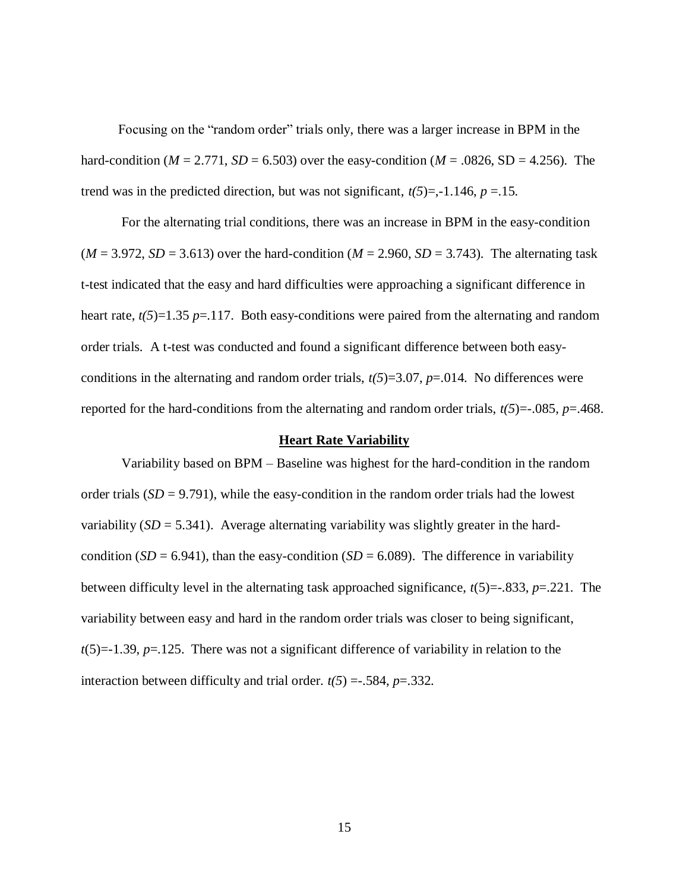Focusing on the "random order" trials only, there was a larger increase in BPM in the hard-condition ( $M = 2.771$ ,  $SD = 6.503$ ) over the easy-condition ( $M = .0826$ ,  $SD = 4.256$ ). The trend was in the predicted direction, but was not significant,  $t(5)=,-1.146, p=.15$ .

For the alternating trial conditions, there was an increase in BPM in the easy-condition  $(M = 3.972, SD = 3.613)$  over the hard-condition  $(M = 2.960, SD = 3.743)$ . The alternating task t-test indicated that the easy and hard difficulties were approaching a significant difference in heart rate,  $t(5)=1.35$  *p*=.117. Both easy-conditions were paired from the alternating and random order trials. A t-test was conducted and found a significant difference between both easyconditions in the alternating and random order trials,  $t(5)=3.07$ ,  $p=.014$ . No differences were reported for the hard-conditions from the alternating and random order trials,  $t(5) = -0.085$ ,  $p = 0.468$ .

#### **Heart Rate Variability**

<span id="page-22-0"></span>Variability based on BPM – Baseline was highest for the hard-condition in the random order trials (*SD* = 9.791), while the easy-condition in the random order trials had the lowest variability  $(SD = 5.341)$ . Average alternating variability was slightly greater in the hardcondition ( $SD = 6.941$ ), than the easy-condition ( $SD = 6.089$ ). The difference in variability between difficulty level in the alternating task approached significance, *t*(5)=-.833, *p*=.221. The variability between easy and hard in the random order trials was closer to being significant, *t*(5)=-1.39, *p*=.125. There was not a significant difference of variability in relation to the interaction between difficulty and trial order.  $t(5) = .584$ ,  $p = .332$ .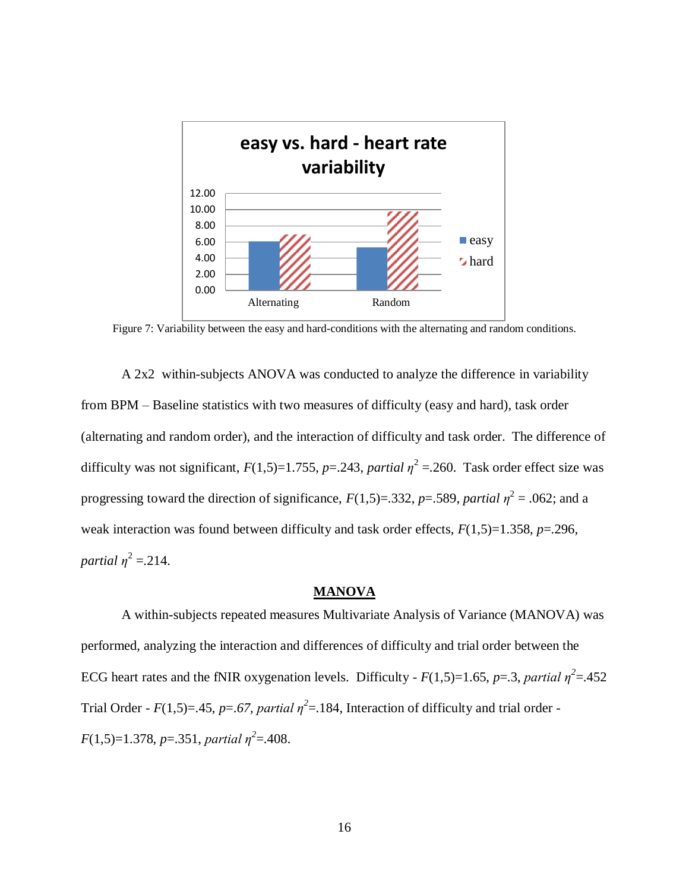

<span id="page-23-1"></span>Figure 7: Variability between the easy and hard-conditions with the alternating and random conditions.

A 2x2 within-subjects ANOVA was conducted to analyze the difference in variability from BPM – Baseline statistics with two measures of difficulty (easy and hard), task order (alternating and random order), and the interaction of difficulty and task order. The difference of difficulty was not significant,  $F(1,5)=1.755$ ,  $p=.243$ , *partial*  $\eta^2=.260$ . Task order effect size was progressing toward the direction of significance,  $F(1,5)=332$ ,  $p=.589$ , *partial*  $\eta^2=.062$ ; and a weak interaction was found between difficulty and task order effects, *F*(1,5)=1.358, *p*=.296, *partial*  $\eta^2 = 214$ .

#### **MANOVA**

<span id="page-23-0"></span>A within-subjects repeated measures Multivariate Analysis of Variance (MANOVA) was performed, analyzing the interaction and differences of difficulty and trial order between the ECG heart rates and the fNIR oxygenation levels. Difficulty -  $F(1,5)=1.65$ ,  $p=.3$ , *partial*  $\eta^2=.452$ Trial Order -  $F(1,5)=.45$ ,  $p=.67$ , partial  $\eta^2=.184$ , Interaction of difficulty and trial order -*F*(1,5)=1.378, *p*=.351, *partial*  $\eta^2$ =.408.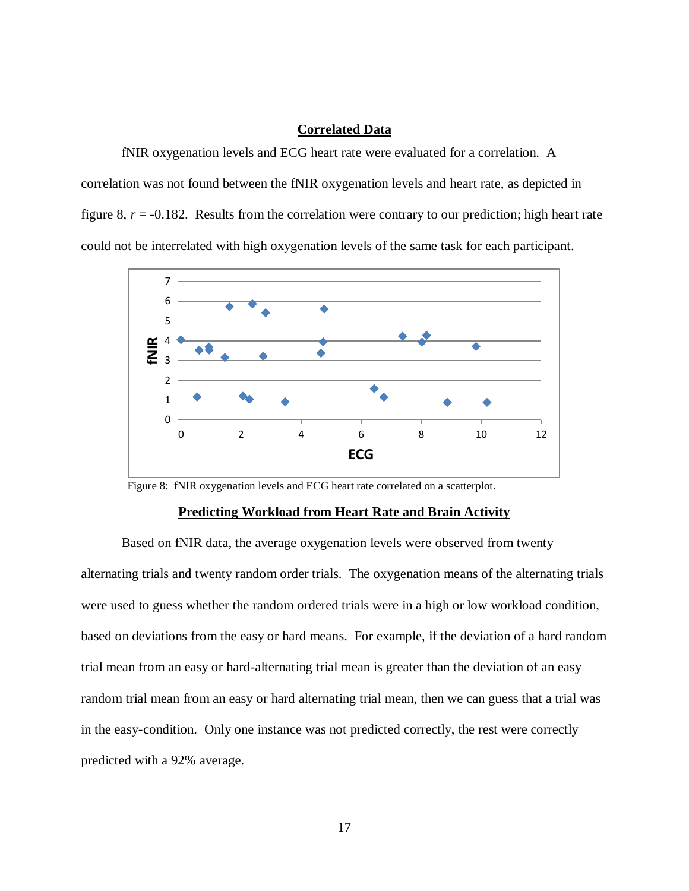### **Correlated Data**

<span id="page-24-0"></span>fNIR oxygenation levels and ECG heart rate were evaluated for a correlation. A correlation was not found between the fNIR oxygenation levels and heart rate, as depicted in figure 8, *r* = -0.182. Results from the correlation were contrary to our prediction; high heart rate could not be interrelated with high oxygenation levels of the same task for each participant.



<span id="page-24-2"></span>Figure 8: fNIR oxygenation levels and ECG heart rate correlated on a scatterplot.

#### **Predicting Workload from Heart Rate and Brain Activity**

<span id="page-24-1"></span>Based on fNIR data, the average oxygenation levels were observed from twenty alternating trials and twenty random order trials. The oxygenation means of the alternating trials were used to guess whether the random ordered trials were in a high or low workload condition, based on deviations from the easy or hard means. For example, if the deviation of a hard random trial mean from an easy or hard-alternating trial mean is greater than the deviation of an easy random trial mean from an easy or hard alternating trial mean, then we can guess that a trial was in the easy-condition. Only one instance was not predicted correctly, the rest were correctly predicted with a 92% average.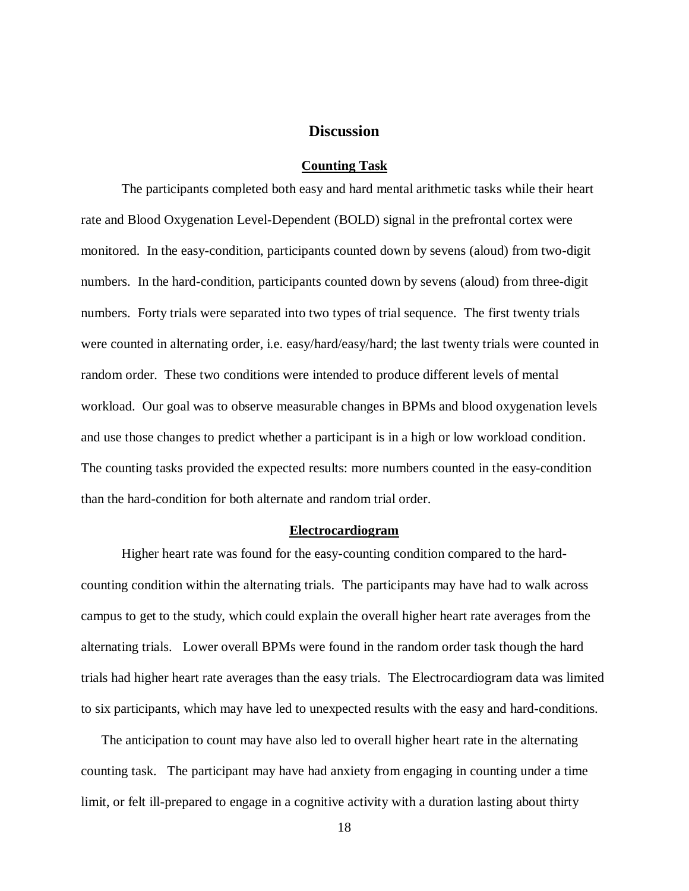# **Discussion**

#### **Counting Task**

<span id="page-25-1"></span><span id="page-25-0"></span>The participants completed both easy and hard mental arithmetic tasks while their heart rate and Blood Oxygenation Level-Dependent (BOLD) signal in the prefrontal cortex were monitored. In the easy-condition, participants counted down by sevens (aloud) from two-digit numbers. In the hard-condition, participants counted down by sevens (aloud) from three-digit numbers. Forty trials were separated into two types of trial sequence. The first twenty trials were counted in alternating order, i.e. easy/hard/easy/hard; the last twenty trials were counted in random order. These two conditions were intended to produce different levels of mental workload. Our goal was to observe measurable changes in BPMs and blood oxygenation levels and use those changes to predict whether a participant is in a high or low workload condition. The counting tasks provided the expected results: more numbers counted in the easy-condition than the hard-condition for both alternate and random trial order.

#### **Electrocardiogram**

<span id="page-25-2"></span>Higher heart rate was found for the easy-counting condition compared to the hardcounting condition within the alternating trials. The participants may have had to walk across campus to get to the study, which could explain the overall higher heart rate averages from the alternating trials. Lower overall BPMs were found in the random order task though the hard trials had higher heart rate averages than the easy trials. The Electrocardiogram data was limited to six participants, which may have led to unexpected results with the easy and hard-conditions.

The anticipation to count may have also led to overall higher heart rate in the alternating counting task. The participant may have had anxiety from engaging in counting under a time limit, or felt ill-prepared to engage in a cognitive activity with a duration lasting about thirty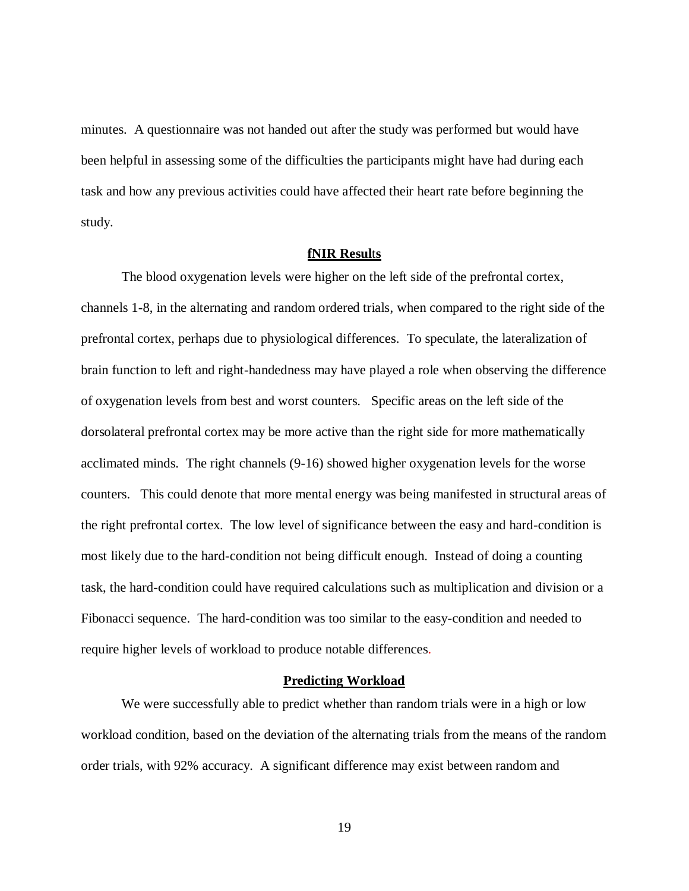minutes. A questionnaire was not handed out after the study was performed but would have been helpful in assessing some of the difficulties the participants might have had during each task and how any previous activities could have affected their heart rate before beginning the study.

# **fNIR Resul**t**s**

<span id="page-26-0"></span>The blood oxygenation levels were higher on the left side of the prefrontal cortex, channels 1-8, in the alternating and random ordered trials, when compared to the right side of the prefrontal cortex, perhaps due to physiological differences. To speculate, the lateralization of brain function to left and right-handedness may have played a role when observing the difference of oxygenation levels from best and worst counters. Specific areas on the left side of the dorsolateral prefrontal cortex may be more active than the right side for more mathematically acclimated minds. The right channels (9-16) showed higher oxygenation levels for the worse counters. This could denote that more mental energy was being manifested in structural areas of the right prefrontal cortex. The low level of significance between the easy and hard-condition is most likely due to the hard-condition not being difficult enough. Instead of doing a counting task, the hard-condition could have required calculations such as multiplication and division or a Fibonacci sequence. The hard-condition was too similar to the easy-condition and needed to require higher levels of workload to produce notable differences.

#### **Predicting Workload**

<span id="page-26-1"></span>We were successfully able to predict whether than random trials were in a high or low workload condition, based on the deviation of the alternating trials from the means of the random order trials, with 92% accuracy. A significant difference may exist between random and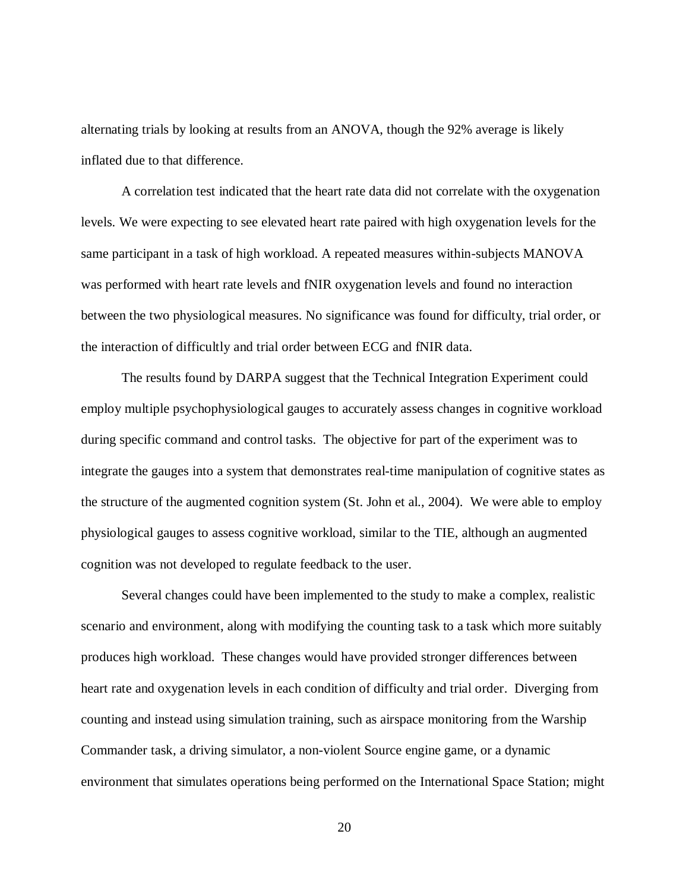alternating trials by looking at results from an ANOVA, though the 92% average is likely inflated due to that difference.

A correlation test indicated that the heart rate data did not correlate with the oxygenation levels. We were expecting to see elevated heart rate paired with high oxygenation levels for the same participant in a task of high workload. A repeated measures within-subjects MANOVA was performed with heart rate levels and fNIR oxygenation levels and found no interaction between the two physiological measures. No significance was found for difficulty, trial order, or the interaction of difficultly and trial order between ECG and fNIR data.

The results found by DARPA suggest that the Technical Integration Experiment could employ multiple psychophysiological gauges to accurately assess changes in cognitive workload during specific command and control tasks. The objective for part of the experiment was to integrate the gauges into a system that demonstrates real-time manipulation of cognitive states as the structure of the augmented cognition system (St. John et al., 2004). We were able to employ physiological gauges to assess cognitive workload, similar to the TIE, although an augmented cognition was not developed to regulate feedback to the user.

Several changes could have been implemented to the study to make a complex, realistic scenario and environment, along with modifying the counting task to a task which more suitably produces high workload. These changes would have provided stronger differences between heart rate and oxygenation levels in each condition of difficulty and trial order. Diverging from counting and instead using simulation training, such as airspace monitoring from the Warship Commander task, a driving simulator, a non-violent Source engine game, or a dynamic environment that simulates operations being performed on the International Space Station; might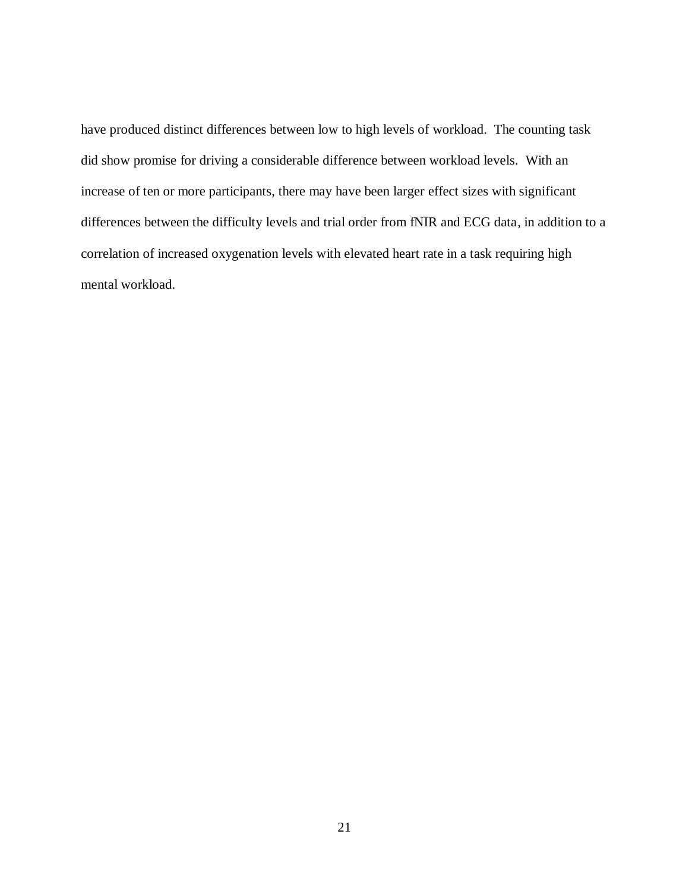have produced distinct differences between low to high levels of workload. The counting task did show promise for driving a considerable difference between workload levels. With an increase of ten or more participants, there may have been larger effect sizes with significant differences between the difficulty levels and trial order from fNIR and ECG data, in addition to a correlation of increased oxygenation levels with elevated heart rate in a task requiring high mental workload.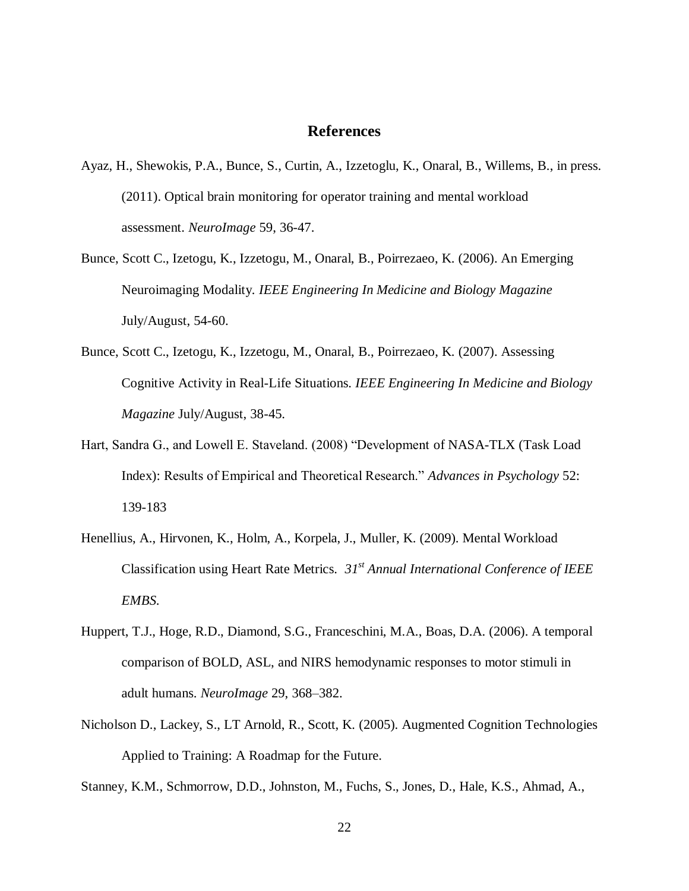## **References**

- <span id="page-29-0"></span>Ayaz, H., Shewokis, P.A., Bunce, S., Curtin, A., Izzetoglu, K., Onaral, B., Willems, B., in press. (2011). Optical brain monitoring for operator training and mental workload assessment. *NeuroImage* 59, 36-47.
- Bunce, Scott C., Izetogu, K., Izzetogu, M., Onaral, B., Poirrezaeo, K. (2006). An Emerging Neuroimaging Modality*. IEEE Engineering In Medicine and Biology Magazine* July/August, 54-60.
- Bunce, Scott C., Izetogu, K., Izzetogu, M., Onaral, B., Poirrezaeo, K. (2007). Assessing Cognitive Activity in Real-Life Situations. *IEEE Engineering In Medicine and Biology Magazine* July/August, 38-45.
- Hart, Sandra G., and Lowell E. Staveland. (2008) "Development of NASA-TLX (Task Load Index): Results of Empirical and Theoretical Research." *Advances in Psychology* 52: 139-183
- Henellius, A., Hirvonen, K., Holm, A., Korpela, J., Muller, K. (2009). Mental Workload Classification using Heart Rate Metrics. *31st Annual International Conference of IEEE EMBS*.
- Huppert, T.J., Hoge, R.D., Diamond, S.G., Franceschini, M.A., Boas, D.A. (2006). A temporal comparison of BOLD, ASL, and NIRS hemodynamic responses to motor stimuli in adult humans. *NeuroImage* 29, 368–382.
- Nicholson D., Lackey, S., LT Arnold, R., Scott, K*.* (2005). Augmented Cognition Technologies Applied to Training: A Roadmap for the Future.

Stanney, K.M., Schmorrow, D.D., Johnston, M., Fuchs, S., Jones, D., Hale, K.S., Ahmad, A.,